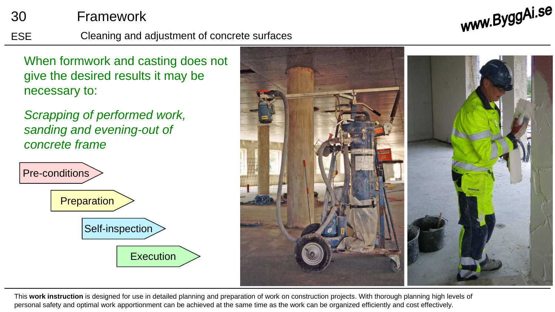## 30 Framework

ESE Cleaning and adjustment of concrete surfaces

When formwork and casting does not give the desired results it may be necessary to:

*Scrapping of performed work, sanding and evening-out of concrete frame*





www.ByggAi.se

This **work instruction** is designed for use in detailed planning and preparation of work on construction projects. With thorough planning high levels of personal safety and optimal work apportionment can be achieved at the same time as the work can be organized efficiently and cost effectively.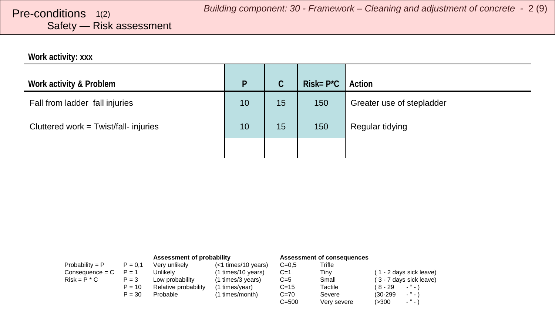# <span id="page-1-0"></span>Safety — Risk assessment

**Work activity: xxx**

| Work activity & Problem               | P  | $\mathsf C$ | $Risk = P^*C$ | Action                    |
|---------------------------------------|----|-------------|---------------|---------------------------|
| Fall from ladder fall injuries        | 10 | 15          | 150           | Greater use of stepladder |
| Cluttered work = Twist/fall- injuries | 10 | 15          | 150           | Regular tidying           |
|                                       |    |             |               |                           |

|                   |           | Assessment of probability |                     | <b>Assessment of consequences</b> |             |                                   |
|-------------------|-----------|---------------------------|---------------------|-----------------------------------|-------------|-----------------------------------|
| Probability = $P$ | $P = 0.1$ | Very unlikely             | (<1 times/10 years) | $C=0.5$                           | Trifle      |                                   |
| $Consequence = C$ | $P = 1$   | Unlikelv                  | (1 times/10 years)  | $C=1$                             | Tinv        | (1 - 2 days sick leave)           |
| $Risk = P * C$    | $P = 3$   | Low probability           | (1 times/3 years)   | $C=5$                             | Small       | (3 - 7 days sick leave)           |
|                   | $P = 10$  | Relative probability      | (1 times/year)      | $C = 15$                          | Tactile     | (8-29<br>$\cdot$ " $\cdot$ )      |
|                   | $P = 30$  | Probable                  | (1 times/month)     | $C = 70$                          | Severe      | $\cdot$ " $\cdot$ )<br>$(30-299)$ |
|                   |           |                           |                     | $C = 500$                         | Very severe | $ "$ $ )$<br>(>300                |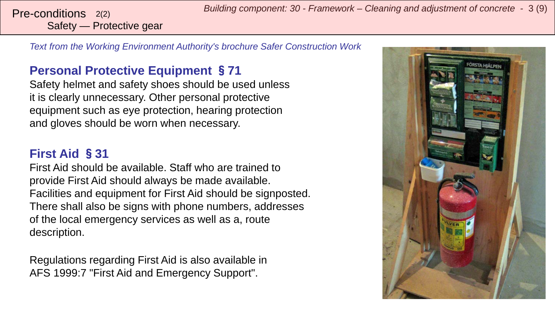Safety — Protective gear

*Text from the Working Environment Authority's brochure Safer Construction Work*

### **Personal Protective Equipment** §**71**

Safety helmet and safety shoes should be used unless it is clearly unnecessary. Other personal protective equipment such as eye protection, hearing protection and gloves should be worn when necessary.

#### **First Aid** §**31**

First Aid should be available. Staff who are trained to provide First Aid should always be made available. Facilities and equipment for First Aid should be signposted. There shall also be signs with phone numbers, addresses of the local emergency services as well as a, route description.

Regulations regarding First Aid is also available in AFS 1999:7 "First Aid and Emergency Support".

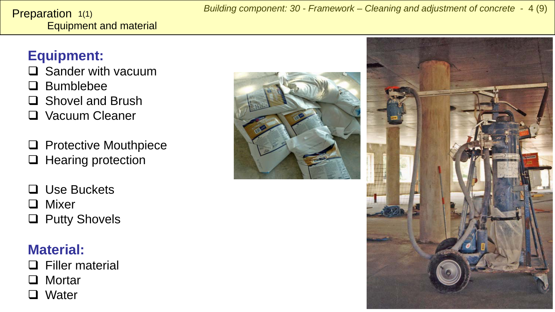#### <span id="page-3-0"></span>Equipment and material **Preparation**  $1(1)$

## **Equipment:**

- $\square$  Sander with vacuum
- **Q** Bumblebee
- □ Shovel and Brush
- **Q** Vacuum Cleaner
- $\Box$  Protective Mouthpiece  $\Box$  Hearing protection
- $\Box$  Use Buckets
- □ Mixer
- □ Putty Shovels

# **Material:**

- □ Filler material
- □ Mortar
- **□** Water



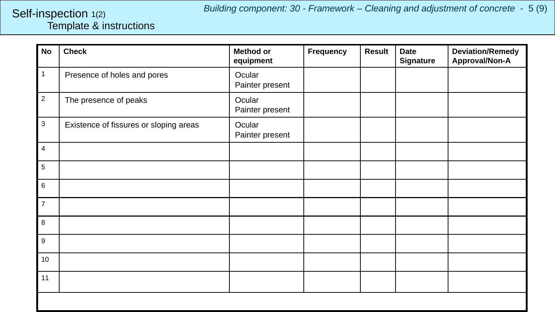#### <span id="page-4-0"></span>Template & instructions Self-inspection 1(2)

| <b>No</b>        | <b>Check</b>                           | <b>Method or</b><br>equipment | Frequency | <b>Result</b> | <b>Date</b><br><b>Signature</b> | <b>Deviation/Remedy</b><br>Approval/Non-A |
|------------------|----------------------------------------|-------------------------------|-----------|---------------|---------------------------------|-------------------------------------------|
| $\mathbf{1}$     | Presence of holes and pores            | Ocular<br>Painter present     |           |               |                                 |                                           |
| $\overline{2}$   | The presence of peaks                  | Ocular<br>Painter present     |           |               |                                 |                                           |
| $\mathbf 3$      | Existence of fissures or sloping areas | Ocular<br>Painter present     |           |               |                                 |                                           |
| $\overline{4}$   |                                        |                               |           |               |                                 |                                           |
| 5                |                                        |                               |           |               |                                 |                                           |
| $\,6\,$          |                                        |                               |           |               |                                 |                                           |
| $\overline{7}$   |                                        |                               |           |               |                                 |                                           |
| 8                |                                        |                               |           |               |                                 |                                           |
| $\boldsymbol{9}$ |                                        |                               |           |               |                                 |                                           |
| 10               |                                        |                               |           |               |                                 |                                           |
| 11               |                                        |                               |           |               |                                 |                                           |
|                  |                                        |                               |           |               |                                 |                                           |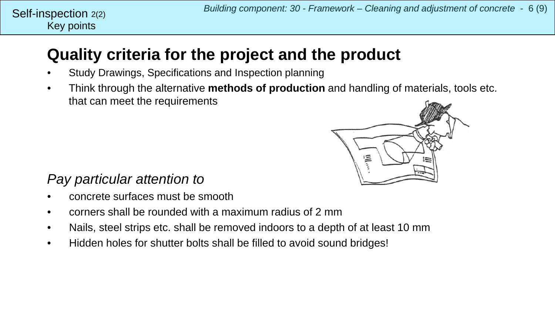# **Quality criteria for the project and the product**

- Study Drawings, Specifications and Inspection planning
- Think through the alternative **methods of production** and handling of materials, tools etc. that can meet the requirements



### *Pay particular attention to*

- concrete surfaces must be smooth
- corners shall be rounded with a maximum radius of 2 mm
- Nails, steel strips etc. shall be removed indoors to a depth of at least 10 mm
- Hidden holes for shutter bolts shall be filled to avoid sound bridges!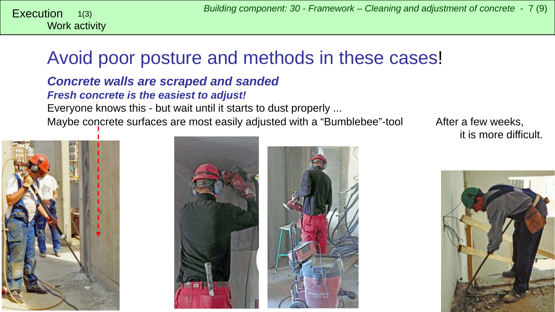<span id="page-6-0"></span>Work activity 1(3)

# Avoid poor posture and methods in these cases!

#### *Concrete walls are scraped and sanded Fresh concrete is the easiest to adjust!* Everyone knows this - but wait until it starts to dust properly ... Maybe concrete surfaces are most easily adjusted with a "Bumblebee"-tool After a few weeks,







it is more difficult.

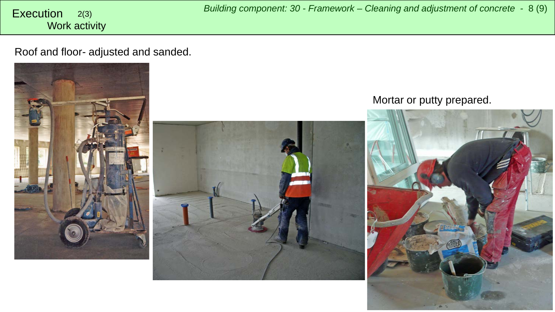Work activity

Roof and floor- adjusted and sanded.